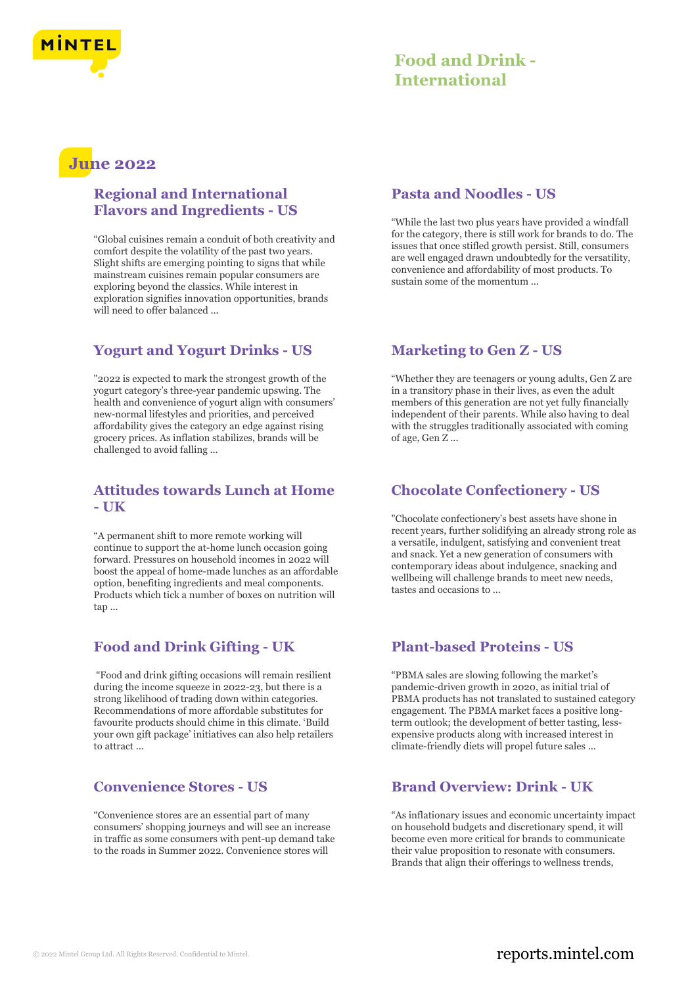

## **June 2022**

## **Regional and International Flavors and Ingredients - US**

"Global cuisines remain a conduit of both creativity and comfort despite the volatility of the past two years. Slight shifts are emerging pointing to signs that while mainstream cuisines remain popular consumers are exploring beyond the classics. While interest in exploration signifies innovation opportunities, brands will need to offer balanced ...

## **Yogurt and Yogurt Drinks - US**

"2022 is expected to mark the strongest growth of the yogurt category's three-year pandemic upswing. The health and convenience of yogurt align with consumers' new-normal lifestyles and priorities, and perceived affordability gives the category an edge against rising grocery prices. As inflation stabilizes, brands will be challenged to avoid falling ...

## **Attitudes towards Lunch at Home - UK**

"A permanent shift to more remote working will continue to support the at-home lunch occasion going forward. Pressures on household incomes in 2022 will boost the appeal of home-made lunches as an affordable option, benefiting ingredients and meal components. Products which tick a number of boxes on nutrition will tap ...

## **Food and Drink Gifting - UK**

"Food and drink gifting occasions will remain resilient during the income squeeze in 2022-23, but there is a strong likelihood of trading down within categories. Recommendations of more affordable substitutes for favourite products should chime in this climate. 'Build your own gift package' initiatives can also help retailers to attract ...

## **Convenience Stores - US**

"Convenience stores are an essential part of many consumers' shopping journeys and will see an increase in traffic as some consumers with pent-up demand take to the roads in Summer 2022. Convenience stores will

## **Pasta and Noodles - US**

"While the last two plus years have provided a windfall for the category, there is still work for brands to do. The issues that once stifled growth persist. Still, consumers are well engaged drawn undoubtedly for the versatility, convenience and affordability of most products. To sustain some of the momentum ...

## **Marketing to Gen Z - US**

"Whether they are teenagers or young adults, Gen Z are in a transitory phase in their lives, as even the adult members of this generation are not yet fully financially independent of their parents. While also having to deal with the struggles traditionally associated with coming of age, Gen Z ...

## **Chocolate Confectionery - US**

"Chocolate confectionery's best assets have shone in recent years, further solidifying an already strong role as a versatile, indulgent, satisfying and convenient treat and snack. Yet a new generation of consumers with contemporary ideas about indulgence, snacking and wellbeing will challenge brands to meet new needs, tastes and occasions to ...

## **Plant-based Proteins - US**

"PBMA sales are slowing following the market's pandemic-driven growth in 2020, as initial trial of PBMA products has not translated to sustained category engagement. The PBMA market faces a positive longterm outlook; the development of better tasting, lessexpensive products along with increased interest in climate-friendly diets will propel future sales ...

## **Brand Overview: Drink - UK**

"As inflationary issues and economic uncertainty impact on household budgets and discretionary spend, it will become even more critical for brands to communicate their value proposition to resonate with consumers. Brands that align their offerings to wellness trends,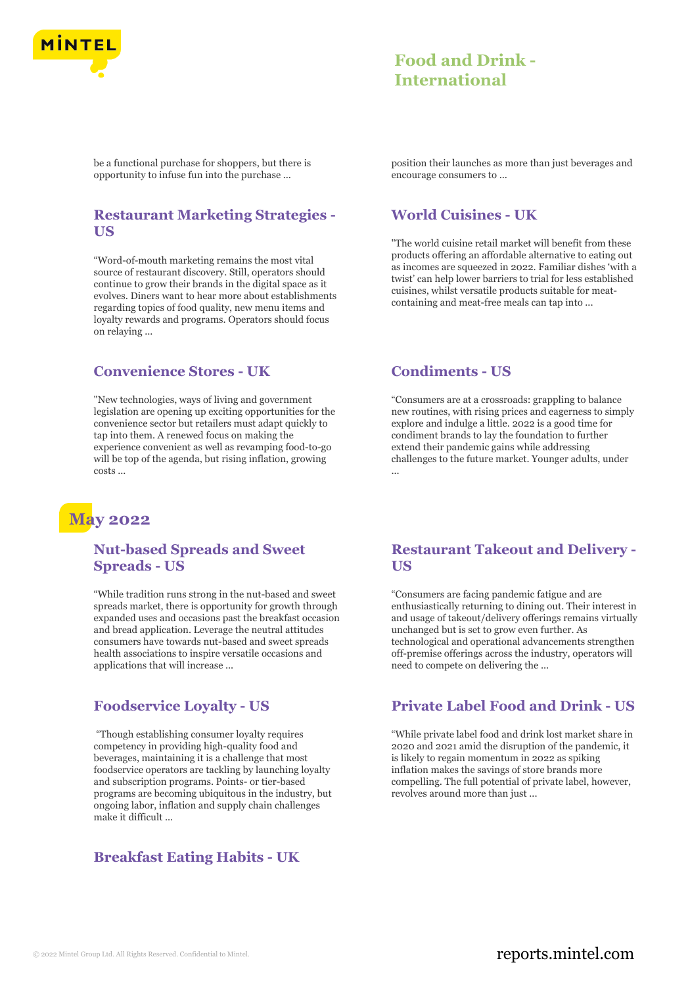

be a functional purchase for shoppers, but there is opportunity to infuse fun into the purchase ...

## **Restaurant Marketing Strategies - US**

"Word-of-mouth marketing remains the most vital source of restaurant discovery. Still, operators should continue to grow their brands in the digital space as it evolves. Diners want to hear more about establishments regarding topics of food quality, new menu items and loyalty rewards and programs. Operators should focus on relaying ...

## **Convenience Stores - UK**

"New technologies, ways of living and government legislation are opening up exciting opportunities for the convenience sector but retailers must adapt quickly to tap into them. A renewed focus on making the experience convenient as well as revamping food-to-go will be top of the agenda, but rising inflation, growing costs ...

## **May 2022**

## **Nut-based Spreads and Sweet Spreads - US**

"While tradition runs strong in the nut-based and sweet spreads market, there is opportunity for growth through expanded uses and occasions past the breakfast occasion and bread application. Leverage the neutral attitudes consumers have towards nut-based and sweet spreads health associations to inspire versatile occasions and applications that will increase ...

## **Foodservice Loyalty - US**

"Though establishing consumer loyalty requires competency in providing high-quality food and beverages, maintaining it is a challenge that most foodservice operators are tackling by launching loyalty and subscription programs. Points- or tier-based programs are becoming ubiquitous in the industry, but ongoing labor, inflation and supply chain challenges make it difficult ...

## **Breakfast Eating Habits - UK**

position their launches as more than just beverages and encourage consumers to ...

## **World Cuisines - UK**

"The world cuisine retail market will benefit from these products offering an affordable alternative to eating out as incomes are squeezed in 2022. Familiar dishes 'with a twist' can help lower barriers to trial for less established cuisines, whilst versatile products suitable for meatcontaining and meat-free meals can tap into ...

#### **Condiments - US**

"Consumers are at a crossroads: grappling to balance new routines, with rising prices and eagerness to simply explore and indulge a little. 2022 is a good time for condiment brands to lay the foundation to further extend their pandemic gains while addressing challenges to the future market. Younger adults, under ...

## **Restaurant Takeout and Delivery - US**

"Consumers are facing pandemic fatigue and are enthusiastically returning to dining out. Their interest in and usage of takeout/delivery offerings remains virtually unchanged but is set to grow even further. As technological and operational advancements strengthen off-premise offerings across the industry, operators will need to compete on delivering the ...

## **Private Label Food and Drink - US**

"While private label food and drink lost market share in 2020 and 2021 amid the disruption of the pandemic, it is likely to regain momentum in 2022 as spiking inflation makes the savings of store brands more compelling. The full potential of private label, however, revolves around more than just ...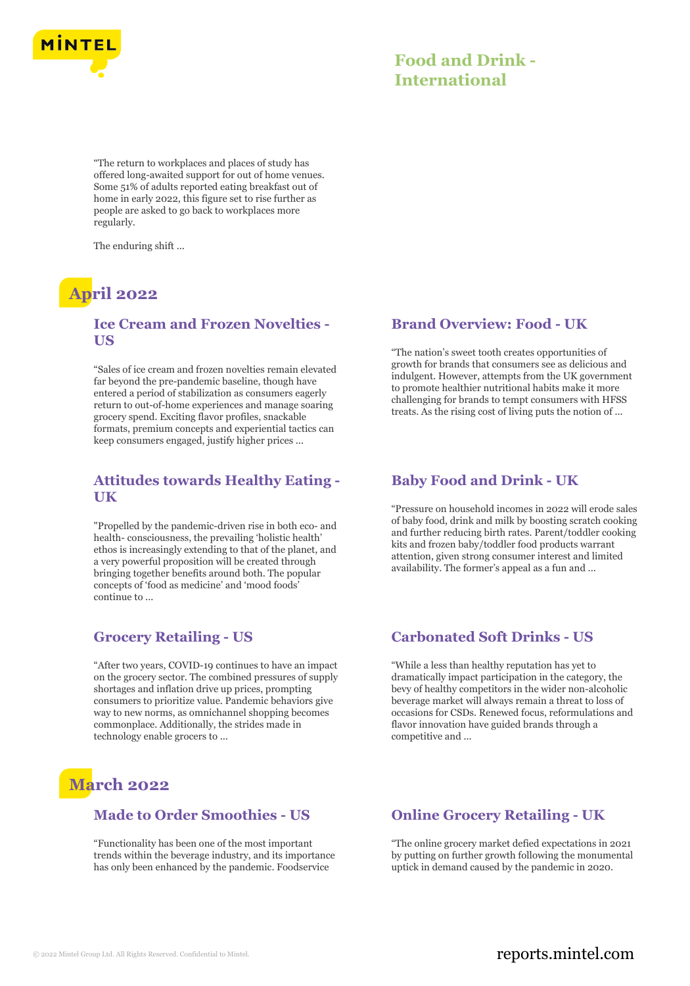

"The return to workplaces and places of study has offered long-awaited support for out of home venues. Some 51% of adults reported eating breakfast out of home in early 2022, this figure set to rise further as people are asked to go back to workplaces more regularly.

The enduring shift ...

## **April 2022**

## **Ice Cream and Frozen Novelties - US**

"Sales of ice cream and frozen novelties remain elevated far beyond the pre-pandemic baseline, though have entered a period of stabilization as consumers eagerly return to out-of-home experiences and manage soaring grocery spend. Exciting flavor profiles, snackable formats, premium concepts and experiential tactics can keep consumers engaged, justify higher prices ...

## **Attitudes towards Healthy Eating - UK**

"Propelled by the pandemic-driven rise in both eco- and health- consciousness, the prevailing 'holistic health' ethos is increasingly extending to that of the planet, and a very powerful proposition will be created through bringing together benefits around both. The popular concepts of 'food as medicine' and 'mood foods' continue to ...

## **Grocery Retailing - US**

"After two years, COVID-19 continues to have an impact on the grocery sector. The combined pressures of supply shortages and inflation drive up prices, prompting consumers to prioritize value. Pandemic behaviors give way to new norms, as omnichannel shopping becomes commonplace. Additionally, the strides made in technology enable grocers to ...

# **March 2022**

## **Made to Order Smoothies - US**

"Functionality has been one of the most important trends within the beverage industry, and its importance has only been enhanced by the pandemic. Foodservice

## **Brand Overview: Food - UK**

"The nation's sweet tooth creates opportunities of growth for brands that consumers see as delicious and indulgent. However, attempts from the UK government to promote healthier nutritional habits make it more challenging for brands to tempt consumers with HFSS treats. As the rising cost of living puts the notion of ...

#### **Baby Food and Drink - UK**

"Pressure on household incomes in 2022 will erode sales of baby food, drink and milk by boosting scratch cooking and further reducing birth rates. Parent/toddler cooking kits and frozen baby/toddler food products warrant attention, given strong consumer interest and limited availability. The former's appeal as a fun and ...

## **Carbonated Soft Drinks - US**

"While a less than healthy reputation has yet to dramatically impact participation in the category, the bevy of healthy competitors in the wider non-alcoholic beverage market will always remain a threat to loss of occasions for CSDs. Renewed focus, reformulations and flavor innovation have guided brands through a competitive and ...

## **Online Grocery Retailing - UK**

"The online grocery market defied expectations in 2021 by putting on further growth following the monumental uptick in demand caused by the pandemic in 2020.

## © 2022 Mintel Group Ltd. All Rights Reserved. Confidential to Mintel.  $\blacksquare$  reports.mintel.com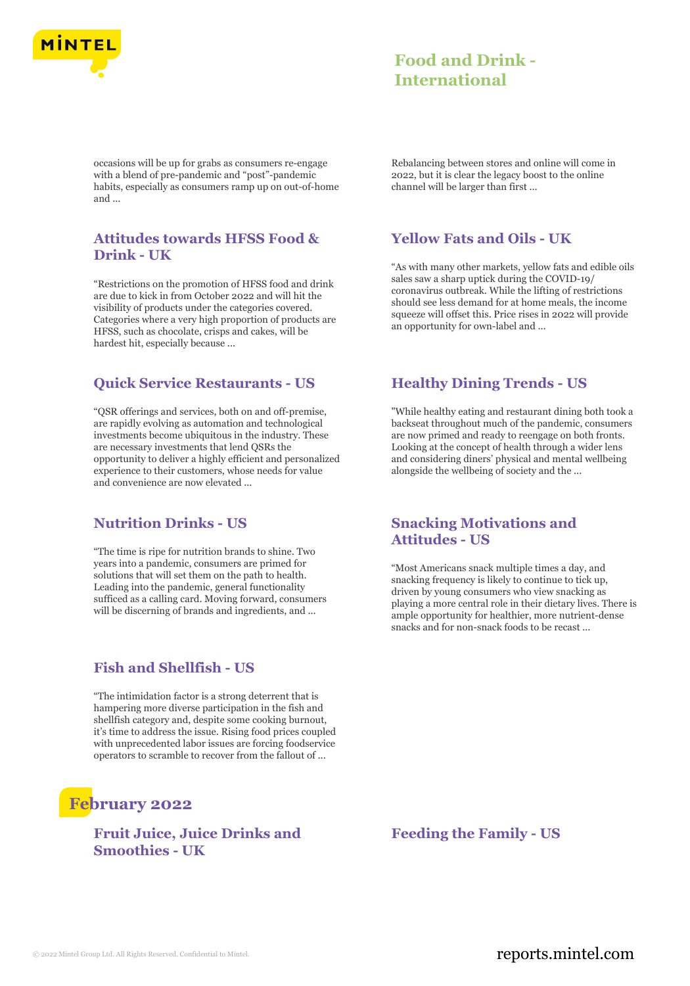

occasions will be up for grabs as consumers re-engage with a blend of pre-pandemic and "post"-pandemic habits, especially as consumers ramp up on out-of-home and ...

## **Attitudes towards HFSS Food & Drink - UK**

"Restrictions on the promotion of HFSS food and drink are due to kick in from October 2022 and will hit the visibility of products under the categories covered. Categories where a very high proportion of products are HFSS, such as chocolate, crisps and cakes, will be hardest hit, especially because ...

## **Quick Service Restaurants - US**

"QSR offerings and services, both on and off-premise, are rapidly evolving as automation and technological investments become ubiquitous in the industry. These are necessary investments that lend QSRs the opportunity to deliver a highly efficient and personalized experience to their customers, whose needs for value and convenience are now elevated ...

## **Nutrition Drinks - US**

"The time is ripe for nutrition brands to shine. Two years into a pandemic, consumers are primed for solutions that will set them on the path to health. Leading into the pandemic, general functionality sufficed as a calling card. Moving forward, consumers will be discerning of brands and ingredients, and ...

## **Fish and Shellfish - US**

"The intimidation factor is a strong deterrent that is hampering more diverse participation in the fish and shellfish category and, despite some cooking burnout, it's time to address the issue. Rising food prices coupled with unprecedented labor issues are forcing foodservice operators to scramble to recover from the fallout of ...

# **February 2022**

## **Fruit Juice, Juice Drinks and Smoothies - UK**

Rebalancing between stores and online will come in 2022, but it is clear the legacy boost to the online channel will be larger than first ...

## **Yellow Fats and Oils - UK**

"As with many other markets, yellow fats and edible oils sales saw a sharp uptick during the COVID-19/ coronavirus outbreak. While the lifting of restrictions should see less demand for at home meals, the income squeeze will offset this. Price rises in 2022 will provide an opportunity for own-label and ...

## **Healthy Dining Trends - US**

"While healthy eating and restaurant dining both took a backseat throughout much of the pandemic, consumers are now primed and ready to reengage on both fronts. Looking at the concept of health through a wider lens and considering diners' physical and mental wellbeing alongside the wellbeing of society and the ...

## **Snacking Motivations and Attitudes - US**

"Most Americans snack multiple times a day, and snacking frequency is likely to continue to tick up, driven by young consumers who view snacking as playing a more central role in their dietary lives. There is ample opportunity for healthier, more nutrient-dense snacks and for non-snack foods to be recast ...

**Feeding the Family - US**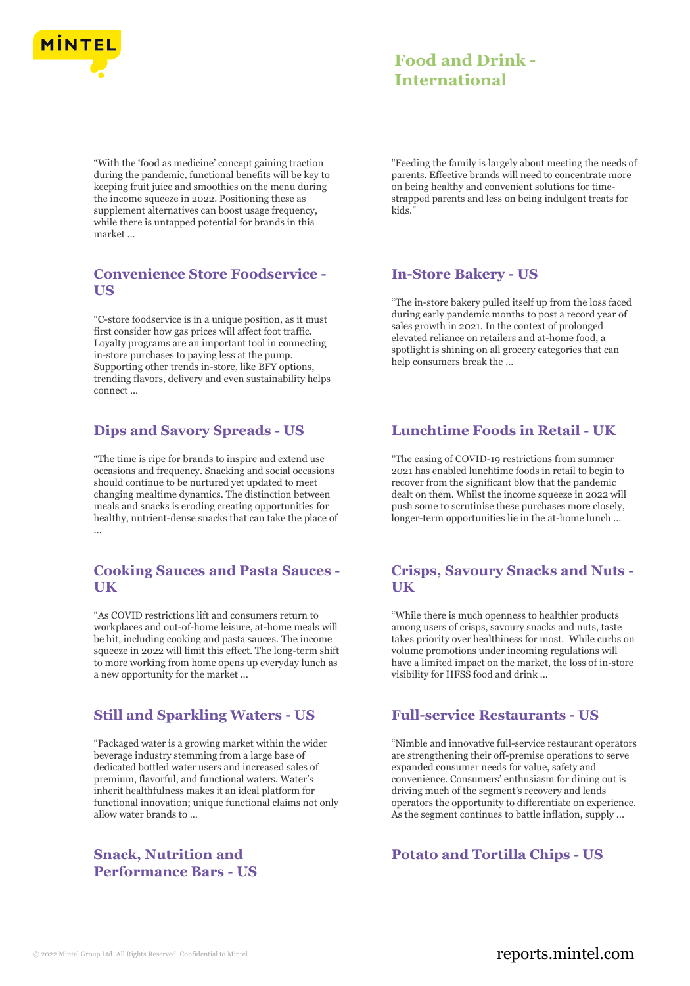

"With the 'food as medicine' concept gaining traction during the pandemic, functional benefits will be key to keeping fruit juice and smoothies on the menu during the income squeeze in 2022. Positioning these as supplement alternatives can boost usage frequency, while there is untapped potential for brands in this market ...

## **Convenience Store Foodservice - US**

"C-store foodservice is in a unique position, as it must first consider how gas prices will affect foot traffic. Loyalty programs are an important tool in connecting in-store purchases to paying less at the pump. Supporting other trends in-store, like BFY options, trending flavors, delivery and even sustainability helps connect ...

## **Dips and Savory Spreads - US**

"The time is ripe for brands to inspire and extend use occasions and frequency. Snacking and social occasions should continue to be nurtured yet updated to meet changing mealtime dynamics. The distinction between meals and snacks is eroding creating opportunities for healthy, nutrient-dense snacks that can take the place of ...

## **Cooking Sauces and Pasta Sauces - UK**

"As COVID restrictions lift and consumers return to workplaces and out-of-home leisure, at-home meals will be hit, including cooking and pasta sauces. The income squeeze in 2022 will limit this effect. The long-term shift to more working from home opens up everyday lunch as a new opportunity for the market ...

## **Still and Sparkling Waters - US**

"Packaged water is a growing market within the wider beverage industry stemming from a large base of dedicated bottled water users and increased sales of premium, flavorful, and functional waters. Water's inherit healthfulness makes it an ideal platform for functional innovation; unique functional claims not only allow water brands to ...

## **Snack, Nutrition and Performance Bars - US**

"Feeding the family is largely about meeting the needs of parents. Effective brands will need to concentrate more on being healthy and convenient solutions for timestrapped parents and less on being indulgent treats for kids."

## **In-Store Bakery - US**

"The in-store bakery pulled itself up from the loss faced during early pandemic months to post a record year of sales growth in 2021. In the context of prolonged elevated reliance on retailers and at-home food, a spotlight is shining on all grocery categories that can help consumers break the ...

## **Lunchtime Foods in Retail - UK**

"The easing of COVID-19 restrictions from summer 2021 has enabled lunchtime foods in retail to begin to recover from the significant blow that the pandemic dealt on them. Whilst the income squeeze in 2022 will push some to scrutinise these purchases more closely, longer-term opportunities lie in the at-home lunch ...

#### **Crisps, Savoury Snacks and Nuts - UK**

"While there is much openness to healthier products among users of crisps, savoury snacks and nuts, taste takes priority over healthiness for most. While curbs on volume promotions under incoming regulations will have a limited impact on the market, the loss of in-store visibility for HFSS food and drink ...

## **Full-service Restaurants - US**

"Nimble and innovative full-service restaurant operators are strengthening their off-premise operations to serve expanded consumer needs for value, safety and convenience. Consumers' enthusiasm for dining out is driving much of the segment's recovery and lends operators the opportunity to differentiate on experience. As the segment continues to battle inflation, supply ...

## **Potato and Tortilla Chips - US**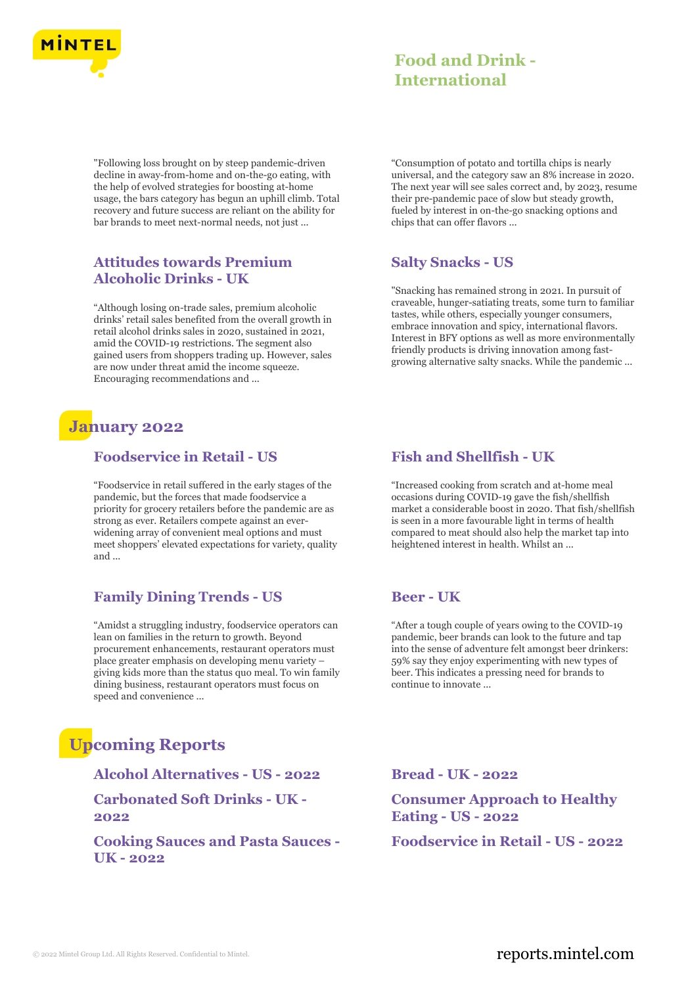

"Following loss brought on by steep pandemic-driven decline in away-from-home and on-the-go eating, with the help of evolved strategies for boosting at-home usage, the bars category has begun an uphill climb. Total recovery and future success are reliant on the ability for bar brands to meet next-normal needs, not just ...

## **Attitudes towards Premium Alcoholic Drinks - UK**

"Although losing on-trade sales, premium alcoholic drinks' retail sales benefited from the overall growth in retail alcohol drinks sales in 2020, sustained in 2021, amid the COVID-19 restrictions. The segment also gained users from shoppers trading up. However, sales are now under threat amid the income squeeze. Encouraging recommendations and ...

## **January 2022**

## **Foodservice in Retail - US**

"Foodservice in retail suffered in the early stages of the pandemic, but the forces that made foodservice a priority for grocery retailers before the pandemic are as strong as ever. Retailers compete against an everwidening array of convenient meal options and must meet shoppers' elevated expectations for variety, quality and ...

## **Family Dining Trends - US**

"Amidst a struggling industry, foodservice operators can lean on families in the return to growth. Beyond procurement enhancements, restaurant operators must place greater emphasis on developing menu variety – giving kids more than the status quo meal. To win family dining business, restaurant operators must focus on speed and convenience ...

# **Upcoming Reports**

**Alcohol Alternatives - US - 2022 Bread - UK - 2022 Carbonated Soft Drinks - UK - 2022**

**Cooking Sauces and Pasta Sauces - UK - 2022**

"Consumption of potato and tortilla chips is nearly universal, and the category saw an 8% increase in 2020. The next year will see sales correct and, by 2023, resume their pre-pandemic pace of slow but steady growth, fueled by interest in on-the-go snacking options and chips that can offer flavors ...

## **Salty Snacks - US**

"Snacking has remained strong in 2021. In pursuit of craveable, hunger-satiating treats, some turn to familiar tastes, while others, especially younger consumers, embrace innovation and spicy, international flavors. Interest in BFY options as well as more environmentally friendly products is driving innovation among fastgrowing alternative salty snacks. While the pandemic ...

## **Fish and Shellfish - UK**

"Increased cooking from scratch and at-home meal occasions during COVID-19 gave the fish/shellfish market a considerable boost in 2020. That fish/shellfish is seen in a more favourable light in terms of health compared to meat should also help the market tap into heightened interest in health. Whilst an ...

## **Beer - UK**

"After a tough couple of years owing to the COVID-19 pandemic, beer brands can look to the future and tap into the sense of adventure felt amongst beer drinkers: 59% say they enjoy experimenting with new types of beer. This indicates a pressing need for brands to continue to innovate ...

**Consumer Approach to Healthy Eating - US - 2022**

**Foodservice in Retail - US - 2022**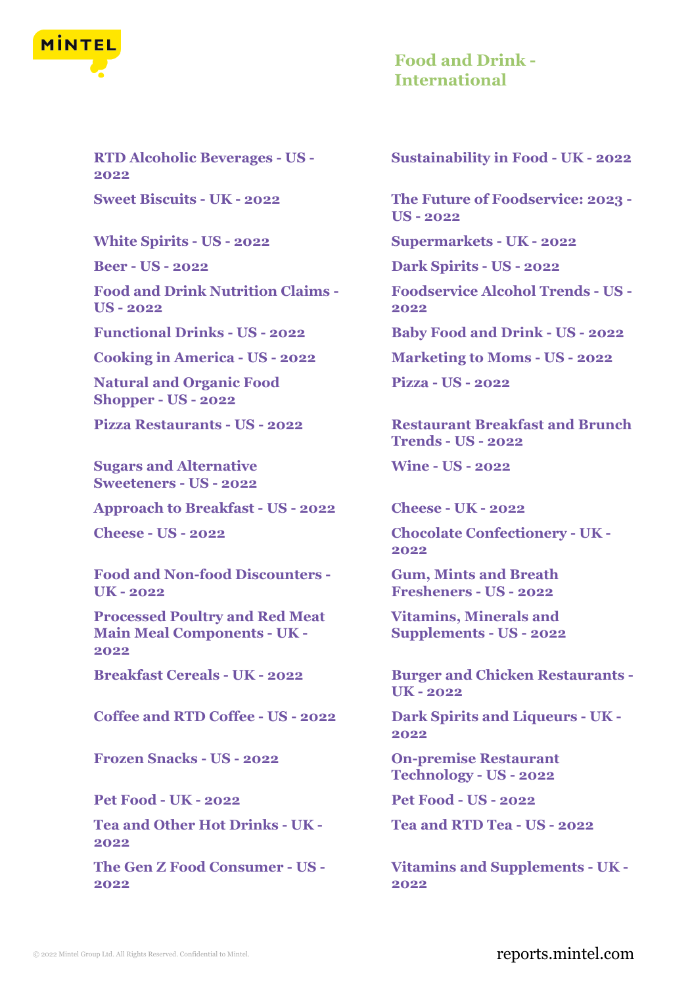

**RTD Alcoholic Beverages - US - 2022**

**Food and Drink Nutrition Claims - US - 2022**

**Functional Drinks - US - 2022 Baby Food and Drink - US - 2022**

**Cooking in America - US - 2022 Marketing to Moms - US - 2022**

**Natural and Organic Food Shopper - US - 2022**

**Sugars and Alternative Sweeteners - US - 2022**

**Approach to Breakfast - US - 2022 Cheese - UK - 2022**

**Food and Non-food Discounters - UK - 2022**

**Processed Poultry and Red Meat Main Meal Components - UK - 2022**

**Coffee and RTD Coffee - US - 2022 Dark Spirits and Liqueurs - UK -**

**Frozen Snacks - US - 2022 On-premise Restaurant**

**Pet Food - UK - 2022 Pet Food - US - 2022**

**Tea and Other Hot Drinks - UK - 2022**

**The Gen Z Food Consumer - US - 2022**

**Sustainability in Food - UK - 2022**

**Sweet Biscuits - UK - 2022 The Future of Foodservice: 2023 - US - 2022**

**White Spirits - US - 2022 Supermarkets - UK - 2022**

**Beer - US - 2022 Dark Spirits - US - 2022**

**Foodservice Alcohol Trends - US - 2022**

**Pizza - US - 2022**

**Pizza Restaurants - US - 2022 Restaurant Breakfast and Brunch Trends - US - 2022**

**Wine - US - 2022**

**Cheese - US - 2022 Chocolate Confectionery - UK - 2022**

> **Gum, Mints and Breath Fresheners - US - 2022**

**Vitamins, Minerals and Supplements - US - 2022**

**Breakfast Cereals - UK - 2022 Burger and Chicken Restaurants - UK - 2022**

**2022**

**Technology - US - 2022**

**Tea and RTD Tea - US - 2022**

**Vitamins and Supplements - UK - 2022**